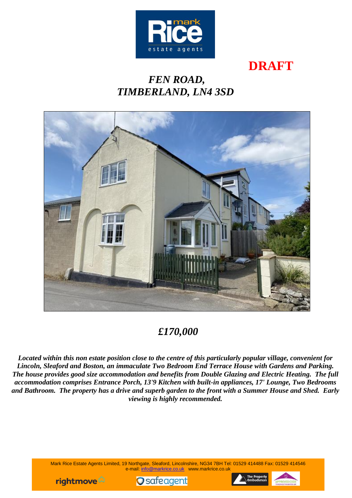

# **DRAFT**

# *FEN ROAD, TIMBERLAND, LN4 3SD*



## *£170,000*

*Located within this non estate position close to the centre of this particularly popular village, convenient for Lincoln, Sleaford and Boston, an immaculate Two Bedroom End Terrace House with Gardens and Parking. The house provides good size accommodation and benefits from Double Glazing and Electric Heating. The full accommodation comprises Entrance Porch, 13'9 Kitchen with built-in appliances, 17' Lounge, Two Bedrooms and Bathroom. The property has a drive and superb garden to the front with a Summer House and Shed. Early viewing is highly recommended.*

> Mark Rice Estate Agents Limited, 19 Northgate, Sleaford, Lincolnshire, NG34 7BH Tel: 01529 414488 Fax: 01529 414546 e-mail: [info@markrice.co.uk](mailto:info@markrice.co.uk) www.markrice.co.uk





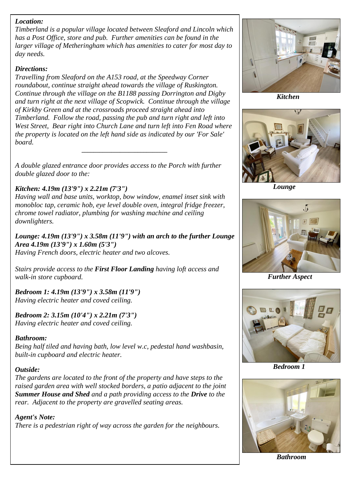### *Location:*

*Timberland is a popular village located between Sleaford and Lincoln which has a Post Office, store and pub. Further amenities can be found in the larger village of Metheringham which has amenities to cater for most day to day needs.*

#### *Directions:*

*Travelling from Sleaford on the A153 road, at the Speedway Corner roundabout, continue straight ahead towards the village of Ruskington. Continue through the village on the B1188 passing Dorrington and Digby and turn right at the next village of Scopwick. Continue through the village of Kirkby Green and at the crossroads proceed straight ahead into Timberland. Follow the road, passing the pub and turn right and left into West Street, Bear right into Church Lane and turn left into Fen Road where the property is located on the left hand side as indicated by our 'For Sale' board. \_\_\_\_\_\_\_\_\_\_\_\_\_\_\_\_\_\_\_\_\_\_\_\_\_\_\_\_\_*

*A double glazed entrance door provides access to the Porch with further double glazed door to the:*

### *Kitchen: 4.19m (13'9") x 2.21m (7'3")*

*Having wall and base units, worktop, bow window, enamel inset sink with monobloc tap, ceramic hob, eye level double oven, integral fridge freezer, chrome towel radiator, plumbing for washing machine and ceiling downlighters.*

*Lounge: 4.19m (13'9") x 3.58m (11'9") with an arch to the further Lounge Area 4.19m (13'9") x 1.60m (5'3") Having French doors, electric heater and two alcoves.*

*Stairs provide access to the First Floor Landing having loft access and walk-in store cupboard.*

*Bedroom 1: 4.19m (13'9") x 3.58m (11'9") Having electric heater and coved ceiling.*

*Bedroom 2: 3.15m (10'4") x 2.21m (7'3") Having electric heater and coved ceiling.*

#### *Bathroom:*

*Being half tiled and having bath, low level w.c, pedestal hand washbasin, built-in cupboard and electric heater.*

#### *Outside:*

*The gardens are located to the front of the property and have steps to the raised garden area with well stocked borders, a patio adjacent to the joint Summer House and Shed and a path providing access to the Drive to the rear. Adjacent to the property are gravelled seating areas.*

*Agent's Note: There is a pedestrian right of way across the garden for the neighbours.*



 *Kitchen*



 *Lounge*



*Further Aspect*



 *Bedroom 1*



 *Bathroom*